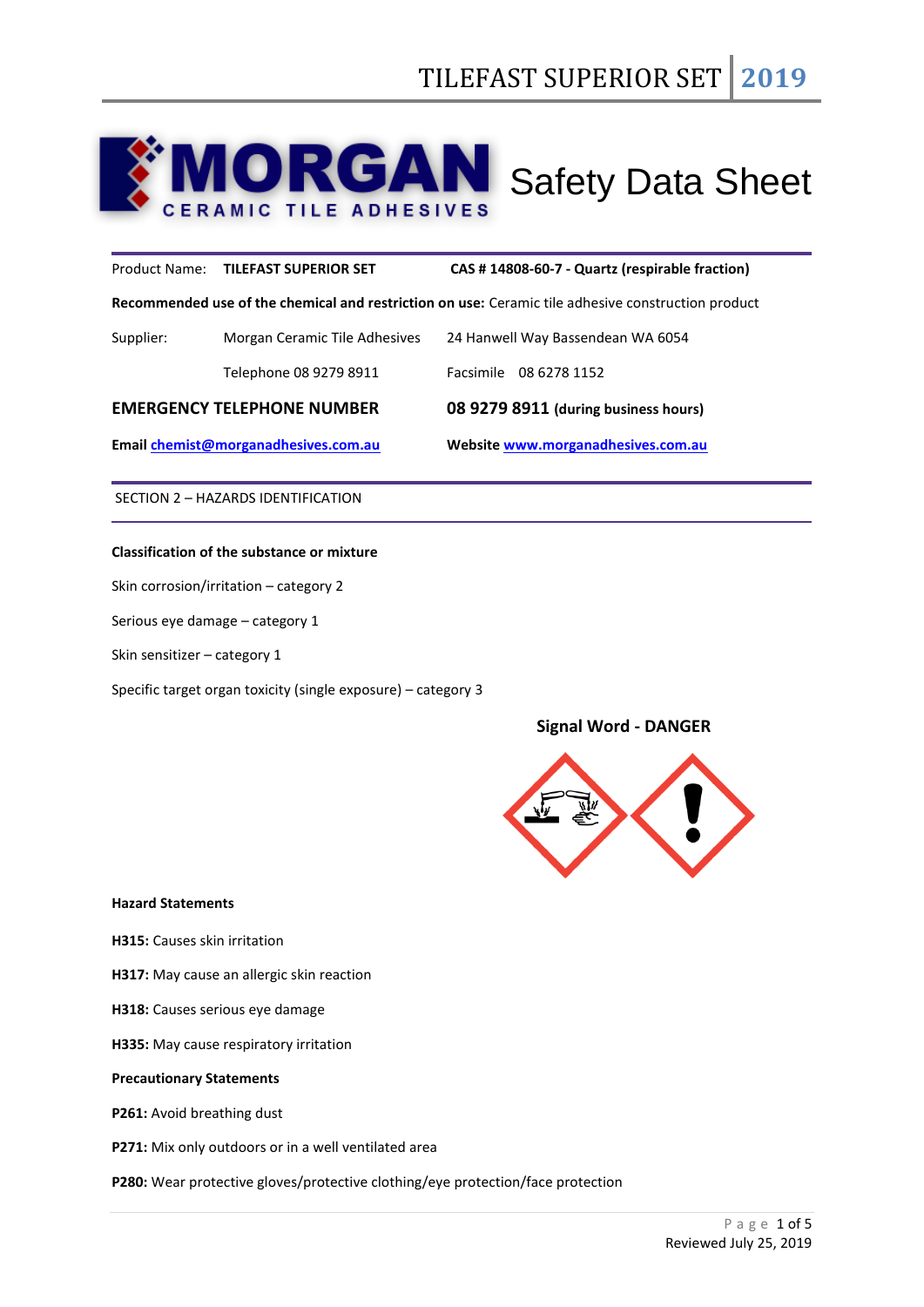# **ORGAN** Safety Data Sheet  $\Delta$

# Product Name: **TILEFAST SUPERIOR SET CAS # 14808-60-7 - Quartz (respirable fraction)**

**Recommended use of the chemical and restriction on use:** Ceramic tile adhesive construction product

| <b>EMERGENCY TELEPHONE NUMBER</b> |                               | 08 9279 8911 (during business hours) |  |
|-----------------------------------|-------------------------------|--------------------------------------|--|
|                                   | Telephone 08 9279 8911        | Facsimile 08 6278 1152               |  |
| Supplier:                         | Morgan Ceramic Tile Adhesives | 24 Hanwell Way Bassendean WA 6054    |  |

**Email [chemist@morganadhesives.com.au](mailto:chemist@morganadhesives.com.au) Websit[e www.morganadhesives.com.au](http://www.morganadhesives.com.au/)**

SECTION 2 – HAZARDS IDENTIFICATION

# **Classification of the substance or mixture**

Skin corrosion/irritation – category 2

Serious eye damage – category 1

Skin sensitizer – category 1

Specific target organ toxicity (single exposure) – category 3

# **Signal Word - DANGER**



#### **Hazard Statements**

**H315:** Causes skin irritation

**H317:** May cause an allergic skin reaction

**H318:** Causes serious eye damage

**H335:** May cause respiratory irritation

## **Precautionary Statements**

**P261:** Avoid breathing dust

**P271:** Mix only outdoors or in a well ventilated area

**P280:** Wear protective gloves/protective clothing/eye protection/face protection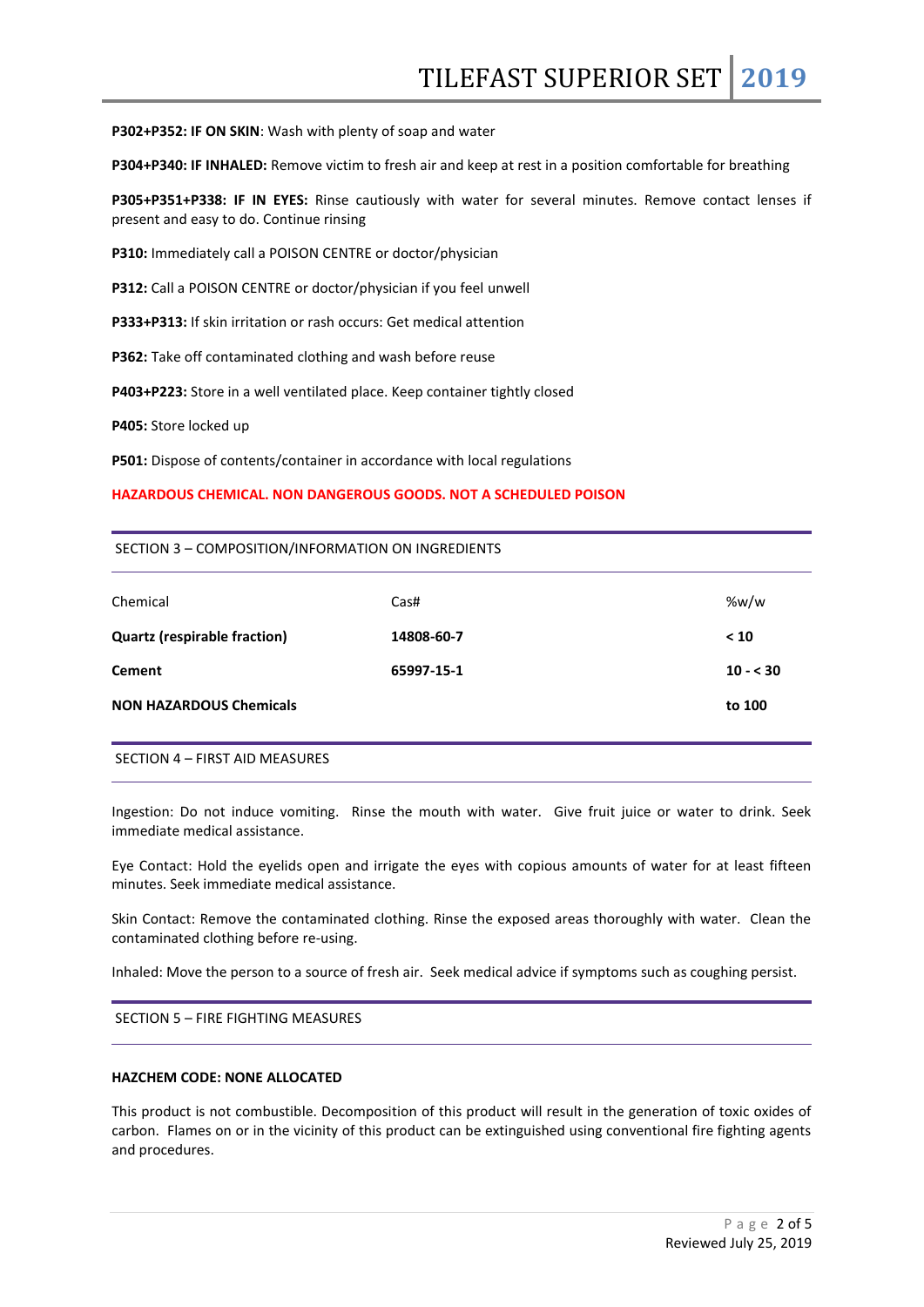**P302+P352: IF ON SKIN**: Wash with plenty of soap and water

**P304+P340: IF INHALED:** Remove victim to fresh air and keep at rest in a position comfortable for breathing

**P305+P351+P338: IF IN EYES:** Rinse cautiously with water for several minutes. Remove contact lenses if present and easy to do. Continue rinsing

**P310:** Immediately call a POISON CENTRE or doctor/physician

**P312:** Call a POISON CENTRE or doctor/physician if you feel unwell

**P333+P313:** If skin irritation or rash occurs: Get medical attention

**P362:** Take off contaminated clothing and wash before reuse

**P403+P223:** Store in a well ventilated place. Keep container tightly closed

**P405:** Store locked up

**P501:** Dispose of contents/container in accordance with local regulations

#### **HAZARDOUS CHEMICAL. NON DANGEROUS GOODS. NOT A SCHEDULED POISON**

#### SECTION 3 – COMPOSITION/INFORMATION ON INGREDIENTS

| Chemical                            | Cas#       | %w/w      |
|-------------------------------------|------------|-----------|
| <b>Quartz (respirable fraction)</b> | 14808-60-7 | < 10      |
| <b>Cement</b>                       | 65997-15-1 | $10 - 30$ |
| <b>NON HAZARDOUS Chemicals</b>      |            | to 100    |

#### SECTION 4 – FIRST AID MEASURES

Ingestion: Do not induce vomiting. Rinse the mouth with water. Give fruit juice or water to drink. Seek immediate medical assistance.

Eye Contact: Hold the eyelids open and irrigate the eyes with copious amounts of water for at least fifteen minutes. Seek immediate medical assistance.

Skin Contact: Remove the contaminated clothing. Rinse the exposed areas thoroughly with water. Clean the contaminated clothing before re-using.

Inhaled: Move the person to a source of fresh air. Seek medical advice if symptoms such as coughing persist.

SECTION 5 – FIRE FIGHTING MEASURES

### **HAZCHEM CODE: NONE ALLOCATED**

This product is not combustible. Decomposition of this product will result in the generation of toxic oxides of carbon. Flames on or in the vicinity of this product can be extinguished using conventional fire fighting agents and procedures.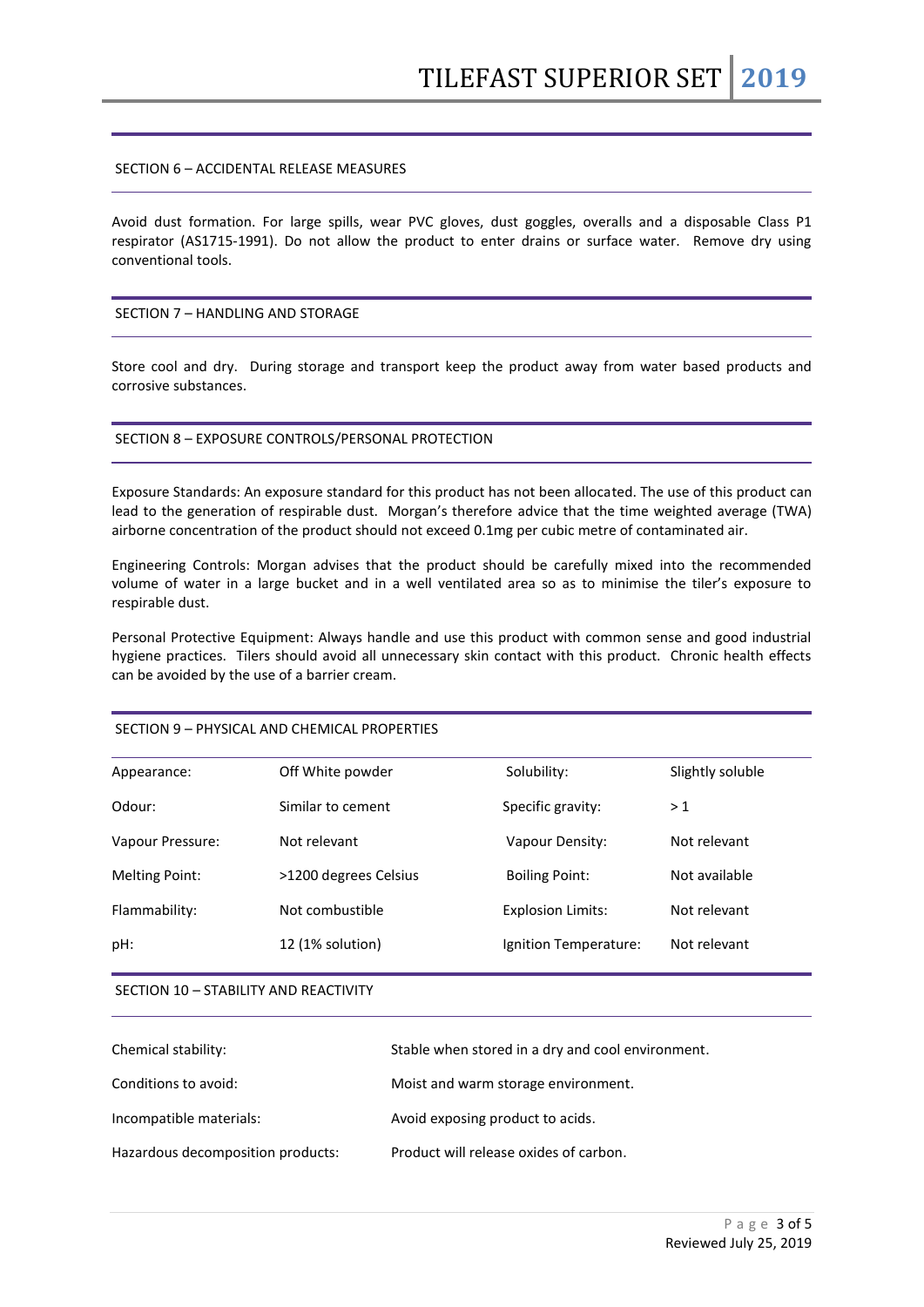## SECTION 6 – ACCIDENTAL RELEASE MEASURES

Avoid dust formation. For large spills, wear PVC gloves, dust goggles, overalls and a disposable Class P1 respirator (AS1715-1991). Do not allow the product to enter drains or surface water. Remove dry using conventional tools.

## SECTION 7 – HANDLING AND STORAGE

Store cool and dry. During storage and transport keep the product away from water based products and corrosive substances.

#### SECTION 8 – EXPOSURE CONTROLS/PERSONAL PROTECTION

Exposure Standards: An exposure standard for this product has not been allocated. The use of this product can lead to the generation of respirable dust. Morgan's therefore advice that the time weighted average (TWA) airborne concentration of the product should not exceed 0.1mg per cubic metre of contaminated air.

Engineering Controls: Morgan advises that the product should be carefully mixed into the recommended volume of water in a large bucket and in a well ventilated area so as to minimise the tiler's exposure to respirable dust.

Personal Protective Equipment: Always handle and use this product with common sense and good industrial hygiene practices. Tilers should avoid all unnecessary skin contact with this product. Chronic health effects can be avoided by the use of a barrier cream.

### SECTION 9 – PHYSICAL AND CHEMICAL PROPERTIES

| Appearance:           | Off White powder      | Solubility:              | Slightly soluble |
|-----------------------|-----------------------|--------------------------|------------------|
| Odour:                | Similar to cement     | Specific gravity:        | >1               |
| Vapour Pressure:      | Not relevant          | Vapour Density:          | Not relevant     |
| <b>Melting Point:</b> | >1200 degrees Celsius | <b>Boiling Point:</b>    | Not available    |
| Flammability:         | Not combustible       | <b>Explosion Limits:</b> | Not relevant     |
| pH:                   | 12 (1% solution)      | Ignition Temperature:    | Not relevant     |
|                       |                       |                          |                  |

#### SECTION 10 – STABILITY AND REACTIVITY

| Chemical stability:               | Stable when stored in a dry and cool environment. |
|-----------------------------------|---------------------------------------------------|
| Conditions to avoid:              | Moist and warm storage environment.               |
| Incompatible materials:           | Avoid exposing product to acids.                  |
| Hazardous decomposition products: | Product will release oxides of carbon.            |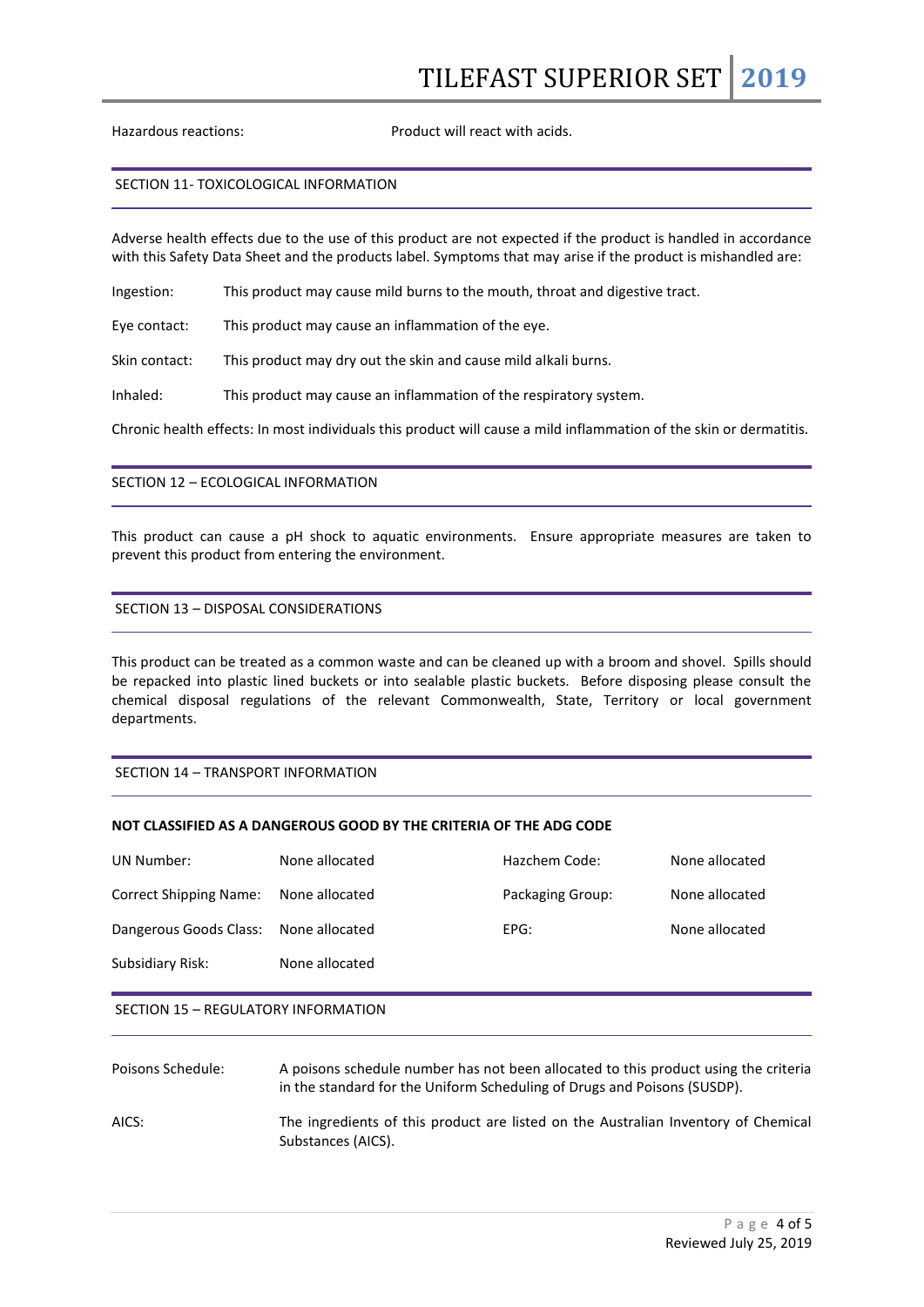Hazardous reactions: Product will react with acids.

#### SECTION 11- TOXICOLOGICAL INFORMATION

Adverse health effects due to the use of this product are not expected if the product is handled in accordance with this Safety Data Sheet and the products label. Symptoms that may arise if the product is mishandled are:

Ingestion: This product may cause mild burns to the mouth, throat and digestive tract.

Eye contact: This product may cause an inflammation of the eye.

Skin contact: This product may dry out the skin and cause mild alkali burns.

Inhaled: This product may cause an inflammation of the respiratory system.

Chronic health effects: In most individuals this product will cause a mild inflammation of the skin or dermatitis.

## SECTION 12 – ECOLOGICAL INFORMATION

This product can cause a pH shock to aquatic environments. Ensure appropriate measures are taken to prevent this product from entering the environment.

# SECTION 13 – DISPOSAL CONSIDERATIONS

This product can be treated as a common waste and can be cleaned up with a broom and shovel. Spills should be repacked into plastic lined buckets or into sealable plastic buckets. Before disposing please consult the chemical disposal regulations of the relevant Commonwealth, State, Territory or local government departments.

# SECTION 14 – TRANSPORT INFORMATION

# **NOT CLASSIFIED AS A DANGEROUS GOOD BY THE CRITERIA OF THE ADG CODE**

| UN Number:             | None allocated | Hazchem Code:    | None allocated |
|------------------------|----------------|------------------|----------------|
| Correct Shipping Name: | None allocated | Packaging Group: | None allocated |
| Dangerous Goods Class: | None allocated | EPG:             | None allocated |
| Subsidiary Risk:       | None allocated |                  |                |
|                        |                |                  |                |

#### SECTION 15 – REGULATORY INFORMATION

| Poisons Schedule: | A poisons schedule number has not been allocated to this product using the criteria<br>in the standard for the Uniform Scheduling of Drugs and Poisons (SUSDP). |
|-------------------|-----------------------------------------------------------------------------------------------------------------------------------------------------------------|
| AICS:             | The ingredients of this product are listed on the Australian Inventory of Chemical<br>Substances (AICS).                                                        |